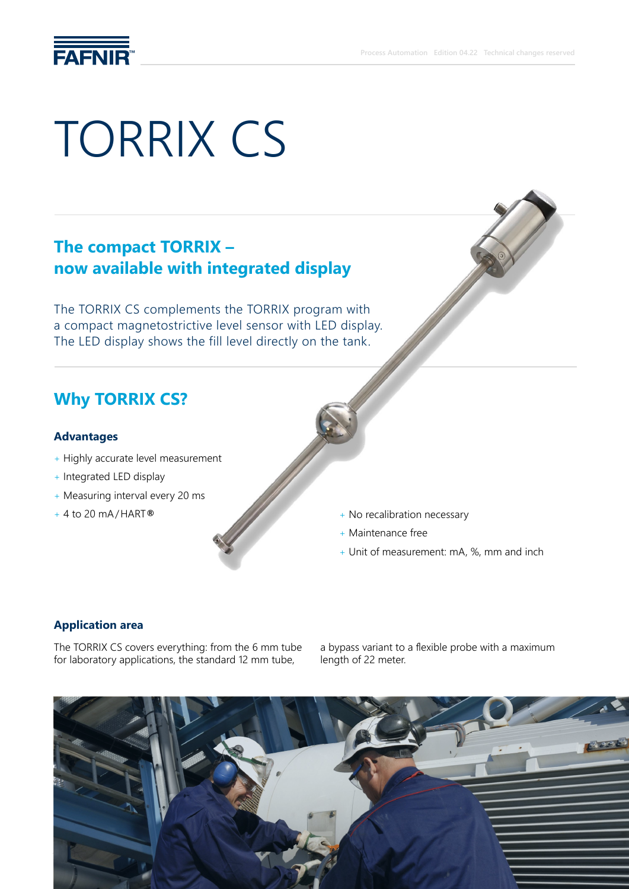

# TORRIX CS

### **The compact TORRIX – now available with integrated display**

The TORRIX CS complements the TORRIX program with a compact magnetostrictive level sensor with LED display. The LED display shows the fill level directly on the tank.

### **Why TORRIX CS?**

#### **Advantages**

- + Highly accurate level measurement
- + Integrated LED display
- + Measuring interval every 20 ms
- + 4 to 20 mA/HART**®**
- + No recalibration necessary
- + Maintenance free
- + Unit of measurement: mA, %, mm and inch

#### **Application area**

The TORRIX CS covers everything: from the 6 mm tube for laboratory applications, the standard 12 mm tube,

a bypass variant to a flexible probe with a maximum length of 22 meter.